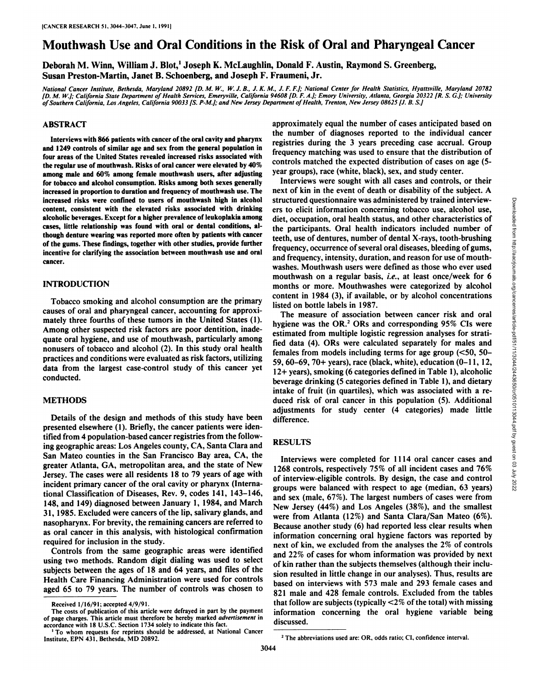# Mouthwash Use and Oral Conditions in the Risk of Oral and Pharyngeal Cancer

Deborah M. Winn, William J. Blot,<sup>1</sup> Joseph K. McLaughlin, Donald F. Austin, Raymond S. Greenberg, Susan Preston-Martin, Janet B. Schoenberg, and Joseph F. Fraumeni, Jr.

National Cancer Institute, Bethesda, Maryland 20892 [D. M. W., W. J. B., J. K. M., J. F. F.]; National Center for Health Statistics, Hyattsville, Maryland 20782 [D. M. W.]; California State Department of Health Services, Emeryville, California 94608 [D. F. A.]; Emory University, Atlanta, Georgia 20322 [R. S. G.]; University of Southern California, Los Angeles, California 90033 [S. P-M.]; and New Jersey Department of Health, Trenton, New Jersey 08625 [J. B. S.]

## **ABSTRACT**

**Interviews with 866 patients with cancer of the oral cavity and pharynx and 1249 controls of similar age and sex from the general population in four areas of the United States revealed increased risks associated with the regular use of mouthwash. Risks of oral cancer were elevated by 40% among male and 60% among female mouthwash users, after adjusting for tobacco and alcohol consumption. Risks among both sexes generally increased in proportion to duration and frequency of mouthwash use. The increased risks were confined to users of mouthwash high in alcohol content, consistent with the elevated risks associated with drinking alcoholic beverages. Except for a higher prevalence of leukoplakia among cases, little relationship was found with oral or dental conditions, al though denture wearing was reported more often by patients with cancer of the gums. These findings, together with other studies, provide further incentive for clarifying the association between mouthwash use and oralcancer.**

# **INTRODUCTION**

Tobacco smoking and alcohol consumption are the primary causes of oral and pharyngeal cancer, accounting for approxi mately three fourths of these tumors in the United States (1). Among other suspected risk factors are poor dentition, inade quate oral hygiene, and use of mouthwash, particularly among nonusers of tobacco and alcohol (2). In this study oral health practices and conditions were evaluated as risk factors, utilizing data from the largest case-control study of this cancer yet conducted.

#### **METHODS**

Details of the design and methods of this study have been presented elsewhere (1). Briefly, the cancer patients were iden tified from 4 population-based cancer registries from the follow ing geographic areas: Los Angeles county, CA, Santa Clara and San Mateo counties in the San Francisco Bay area, CA, the greater Atlanta, GA, metropolitan area, and the state of New Jersey. The cases were all residents 18 to 79 years of age with incident primary cancer of the oral cavity or pharynx (International Classification of Diseases, Rev. 9, codes 141, 143-146, 148, and 149) diagnosed between January 1, 1984, and March 31, 1985. Excluded were cancers of the lip, salivary glands, and nasopharynx. For brevity, the remaining cancers are referred to as oral cancer in this analysis, with histological confirmation required for inclusion in the study.

Controls from the same geographic areas were identified using two methods. Random digit dialing was used to select subjects between the ages of 18 and 64 years, and files of the Health Care Financing Administration were used for controls aged 65 to 79 years. The number of controls was chosen to

approximately equal the number of cases anticipated based on the number of diagnoses reported to the individual cancer registries during the 3 years preceding case accrual. Group frequency matching was used to ensure that the distribution of controls matched the expected distribution of cases on age (5 year groups), race (white, black), sex, and study center.

Interviews were sought with all cases and controls, or their next of kin in the event of death or disability of the subject. A structured questionnaire was administered by trained interview-<br>ers to elicit information concerning to bacco use, alcohol use,<br>diet, occupation, oral health status, and other characteristics of<br>the participants. Oral hea ers to elicit information concerning tobacco use, alcohol use, diet, occupation, oral health status, and other characteristics of the participants. Oral health indicators included number of teeth, use of dentures, number of dental X-rays, tooth-brushing frequency, occurrence of several oral diseases, bleeding of gums, and frequency, intensity, duration, and reason for use of mouthwashes. Mouthwash users were defined as those who ever used mouthwash on a regular basis, i.e., at least once/week for 6 months or more. Mouthwashes were categorized by alcohol content in 1984 (3), if available, or by alcohol concentrations listed on bottle labels in 1987.

The measure of association between cancer risk and oral hygiene was the  $OR<sup>2</sup> ORs$  and corresponding 95% CIs were estimated from multiple logistic regression analyses for strati fied data (4). ORs were calculated separately for males and females from models including terms for age group (<50, 50- 59, 60-69, 70+ years), race (black, white), education (0-11,12, 12+ years), smoking (6 categories defined in Table 1), alcoholic beverage drinking (5 categories defined in Table 1), and dietary intake of fruit (in quartiles), which was associated with a re duced risk of oral cancer in this population (5). Additional adjustments for study center (4 categories) made little difference.

#### **RESULTS**

Interviews were completed for 1114 oral cancer cases and 1268 controls, respectively 75% of all incident cases and 76% of interview-eligible controls. By design, the case and control groups were balanced with respect to age (median, 63 years) and sex (male, 67%). The largest numbers of cases were from New Jersey (44%) and Los Angeles (38%), and the smallest were from Atlanta (12%) and Santa Clara/San Mateo (6%). Because another study (6) had reported less clear results when information concerning oral hygiene factors was reported by next of kin, we excluded from the analyses the 2% of controls and 22% of cases for whom information was provided by next of kin rather than the subjects themselves (although their inclu sion resulted in little change in our analyses). Thus, results are based on interviews with 573 male and 293 female cases and 821 male and 428 female controls. Excluded from the tables that follow are subjects (typically <2% of the total) with missing information concerning the oral hygiene variable being discussed.

Received 1/16/91; accepted 4/9/91.

The costs of publication of this article were defrayed in part by the payment of page charges. This article must therefore be hereby marked advertisement in accordance with 18 U.S.C. Section 1734 solely to indicate this fact.

To whom requests for reprints should be addressed, at National Cancer Institute, EPN 431, Bethesda, MD 20892.

Downloaded from http://aacrjournals.org/cancerres/article-pdf/51/11/3044/2443650/cr0510113044.pdf by guest on 03 July 2022

<sup>&</sup>lt;sup>2</sup> The abbreviations used are: OR, odds ratio; CI, confidence interval.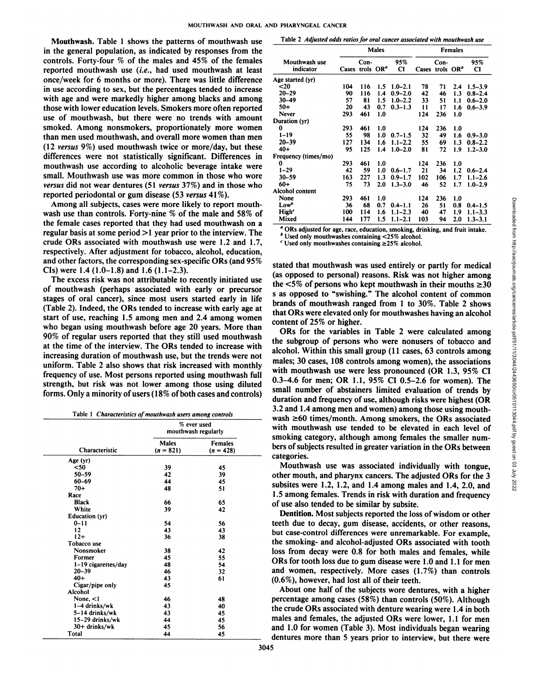Mouthwash. Table 1 shows the patterns of mouthwash use in the general population, as indicated by responses from the controls. Forty-four  $%$  of the males and 45% of the females reported mouthwash use (i.e., had used mouthwash at least once/week for 6 months or more). There was little difference in use according to sex, but the percentages tended to increase with age and were markedly higher among blacks and among those with lower education levels. Smokers more often reported use of mouthwash, but there were no trends with amount smoked. Among nonsmokers, proportionately more women than men used mouthwash, and overall more women than men (12 versus 9%) used mouthwash twice or more/day, but these differences were not statistically significant. Differences in mouthwash use according to alcoholic beverage intake were small. Mouthwash use was more common in those who wore *versus did notwear dentures (51 versus 37%) and in those who* reported periodontal or gum disease (53 versus 41%).

Among all subjects, cases were more likely to report mouthwash use than controls. Forty-nine % of the male and 58% of the female cases reported that they had used mouthwash on a regular basis at some period >1 year prior to the interview. The crude ORs associated with mouthwash use were 1.2 and 1.7, respectively. After adjustment for tobacco, alcohol, education, and other factors, the corresponding sex-specific ORs (and 95% CIs) were  $1.4$  (1.0–1.8) and 1.6 (1.1–2.3).

The excess risk was not attributable to recently initiated use of mouthwash (perhaps associated with early or precursor stages of oral cancer), since most users started early in life (Table 2). Indeed, the ORs tended to increase with early age at start of use, reaching 1.5 among men and 2.4 among women who began using mouthwash before age 20 years. More than 90% of regular users reported that they still used mouthwash at the time of the interview. The ORs tended to increase with increasing duration of mouthwash use, but the trends were not uniform. Table 2 also shows that risk increased with monthly frequency of use. Most persons reported using mouthwash full strength, but risk was not lower among those using diluted forms. Only a minority of users (18% of both cases and controls)

|  |  | Table 1 Characteristics of mouthwash users among controls |  |
|--|--|-----------------------------------------------------------|--|
|--|--|-----------------------------------------------------------|--|

|                       | % ever used<br>mouthwash regularly |                               |  |  |  |  |
|-----------------------|------------------------------------|-------------------------------|--|--|--|--|
| Characteristic        | <b>Males</b><br>$(n = 821)$        | <b>Females</b><br>$(n = 428)$ |  |  |  |  |
| Age (yr)              |                                    |                               |  |  |  |  |
| $50$                  | 39                                 | 45                            |  |  |  |  |
| $50 - 59$             | 42                                 | 39                            |  |  |  |  |
| 60-69                 | 44                                 | 45                            |  |  |  |  |
| $70+$                 | 48                                 | 51                            |  |  |  |  |
| Race                  |                                    |                               |  |  |  |  |
| <b>Black</b>          | 66                                 | 65                            |  |  |  |  |
| White                 | 39                                 | 42                            |  |  |  |  |
| <b>Education</b> (yr) |                                    |                               |  |  |  |  |
| $0 - 11$              | 54                                 | 56                            |  |  |  |  |
| 12                    | 43                                 | 43                            |  |  |  |  |
| $12+$                 | 36                                 | 38                            |  |  |  |  |
| Tobacco use           |                                    |                               |  |  |  |  |
| Nonsmoker             | 38                                 | 42                            |  |  |  |  |
| Former                | 45                                 | 55                            |  |  |  |  |
| 1-19 cigarettes/day   | 48                                 | 54                            |  |  |  |  |
| $20 - 39$             | 46                                 | 32                            |  |  |  |  |
| $40+$                 | 43                                 | 61                            |  |  |  |  |
| Cigar/pipe only       | 45                                 |                               |  |  |  |  |
| Alcohol               |                                    |                               |  |  |  |  |
| None, $<$ 1           | 46                                 | 48                            |  |  |  |  |
| 1–4 drinks/wk         | 43                                 | 40                            |  |  |  |  |
| 5-14 drinks/wk        | 43                                 | 45                            |  |  |  |  |
| 15–29 drinks/wk       | 44                                 | 45                            |  |  |  |  |
| 30+ drinks/wk         | 45                                 | 56                            |  |  |  |  |
| Total                 | 44                                 | 45                            |  |  |  |  |

Table 2 Adjusted odds ratios for oral cancer associated with mouthwash use

|                            |                             | Males |     | <b>Females</b>        |               |                                       |     |                       |
|----------------------------|-----------------------------|-------|-----|-----------------------|---------------|---------------------------------------|-----|-----------------------|
| Mouthwash use<br>indicator | Cases trols OR <sup>ª</sup> | Con-  |     | 95%<br>C1             |               | $Con-$<br>Cases trols OR <sup>a</sup> |     | 95%<br>C1             |
| Age started (yr)           |                             |       |     |                       |               |                                       |     |                       |
| $20$                       | 104                         | 116   | 1.5 | $1.0 - 2.1$           | 78            | 71                                    |     | $2.4$ 1.5-3.9         |
| $20 - 29$                  | 90                          | 116   |     | $1.4 \quad 0.9 - 2.0$ | 42            | 46                                    |     | $1.3 \quad 0.8 - 2.4$ |
| $30 - 49$                  | 57                          | 81    | 1.5 | $1.0 - 2.2$           | 33            | 51                                    | 1.1 | $0.6 - 2.0$           |
| $50+$                      | 20                          | 43    |     | $0.7 \quad 0.3 - 1.3$ | $\mathbf{11}$ | 17                                    | 1.6 | $0.6 - 3.9$           |
| Never                      | 293                         | 461   | 1.0 |                       | 124           | 236                                   | 1.0 |                       |
| Duration (yr)              |                             |       |     |                       |               |                                       |     |                       |
| 0                          | 293                         | 461   | 1.0 |                       | 124           | 236                                   | 1.0 |                       |
| $1 - 19$                   | 55                          | 98    |     | $1.0 \quad 0.7 - 1.5$ | 32            | 49                                    |     | $1.6 \quad 0.9 - 3.0$ |
| $20 - 39$                  | 127                         | 134   | 1.6 | $1.1 - 2.2$           | 55            | 69                                    | 1.3 | $0.8 - 2.2$           |
| $40+$                      | 95                          | 125   | 1.4 | $1.0 - 2.0$           | 81            | 72                                    | 1.9 | $1.2 - 3.0$           |
| Frequency (times/mo)       |                             |       |     |                       |               |                                       |     |                       |
| 0                          | 293                         | 461   | 1.0 |                       | 124           | 236                                   | 1.0 |                       |
| $1 - 29$                   | 42                          | 59    |     | $1.0 \quad 0.6 - 1.7$ | 21            | 34                                    |     | $1.2 \quad 0.6 - 2.4$ |
| $30 - 59$                  | 163                         | 227   |     | $1.3 \quad 0.9 - 1.7$ | 102           | 106                                   | 1.7 | $1.1 - 2.6$           |
| $60+$                      | 75                          | 73    |     | $2.0$ 1.3-3.0         | 46            | 52                                    | 1.7 | $1.0 - 2.9$           |
| Alcohol content            |                             |       |     |                       |               |                                       |     |                       |
| None                       | 293                         | 461   | 1.0 |                       | 124           | 236                                   | 1.0 |                       |
| Low <sup>b</sup>           | 36                          | 68    | 0.7 | $0.4 - 1.1$           | 26            | 51                                    |     | $0.8$ $0.4-1.5$       |
| <b>High</b> <sup>c</sup>   | 100                         | 114   | 1.6 | $1.1 - 2.3$           | 40            | 47                                    | 1.9 | $1.1 - 3.3$           |
| Mixed                      | 144                         | 177   | 1.5 | $1.1 - 2.1$           | 103           | 94                                    | 2.0 | $1.3 - 3.1$           |

*°ORs adjusted for age. race, education, smoking, drinking, and fruit intake.*

 $<sup>b</sup>$  Used only mouthwashes containing <25% alcohol.</sup>

*c Used only mouthwashes containing >25% alcohol.*

stated that mouthwash was used entirely or partly for medical the  $\leq 5\%$  of persons who kept mouthwash in their mouths  $\geq 30$ s as opposed to "swishing." The alcohol content of common brands of mouthwash ranged from 1 to 30%. Table 2 shows that ORs were elevated only for mouthwashes having an alcohol content of 25% or higher.

Females **(n = 821)**  $(n = 821)$  (n = 428) bers of subjects resulted in greater variation in the ORs between  $\frac{5}{2}$ Now the subgroup of exerce descriptions. The 234 and the state of the state of the state of the state of the state of the state of the state of the state of the state of the state of the state of the state of the state of ORs for the variables in Table 2 were calculated among the subgroup of persons who were nonusers of tobacco and alcohol. Within this small group (11 cases, 63 controls among males; 30 cases, 108 controls among women), the associations with mouthwash use were less pronounced (OR 1.3, 95% CI 0.3-4.6 for men; OR 1.1, 95% CI 0.5-2.6 for women). The small number of abstainers limited evaluation of trends by duration and frequency of use, although risks were highest (OR 3.2 and 1.4 among men and women) among those using mouthwash  $\geq 60$  times/month. Among smokers, the ORs associated with mouthwash use tended to be elevated in each level of smoking category, although among females the smaller num categories.

Mouthwash use was associated individually with tongue, other mouth, and pharynx cancers. The adjusted ORs for the 3 subsites were 1.2, 1.2, and 1.4 among males and 1.4, 2.0, and 1.5 among females. Trends in risk with duration and frequency of use also tended to be similar by subsite.

Dentition. Most subjects reported the loss of wisdom or other teeth due to decay, gum disease, accidents, or other reasons, but case-control differences were unremarkable. For example, the smoking- and alcohol-adjusted ORs associated with tooth loss from decay were 0.8 for both males and females, while ORs for tooth loss due to gum disease were 1.0 and 1.1 for men and women, respectively. More cases (1.7%) than controls (0.6%), however, had lost all of their teeth.

About one half of the subjects wore dentures, with a higher percentage among cases (58%) than controls (50%). Although the crude ORs associated with denture wearing were 1.4 in both males and females, the adjusted ORs were lower, 1.1 for men and 1.0 for women (Table 3). Most individuals began wearing dentures more than 5 years prior to interview, but there were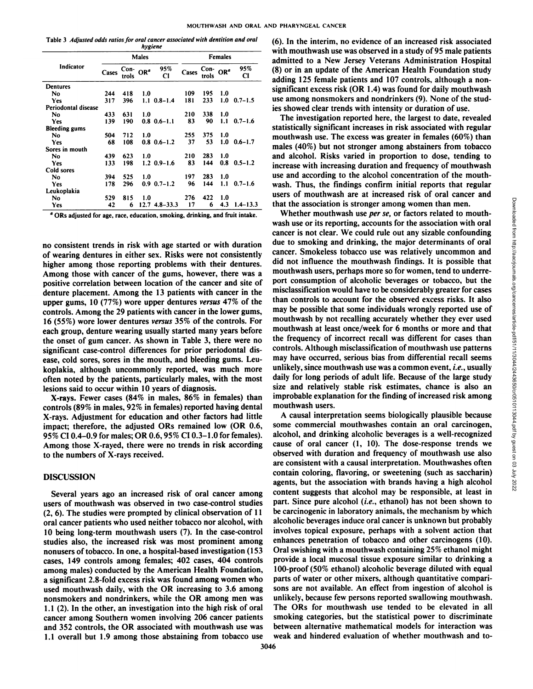Table 3 Adjusted odds ratios for oral cancer associated with dentition and oral *hygiene*

|                      |       |                                            | 1. 1 1. 1    |                       |                |                     |     |              |  |
|----------------------|-------|--------------------------------------------|--------------|-----------------------|----------------|---------------------|-----|--------------|--|
|                      |       |                                            | <b>Males</b> |                       | <b>Females</b> |                     |     |              |  |
| Indicator            | Cases | $\frac{\text{Con-}}{\text{OR}^a}$<br>trols |              | 95%<br>CI             | Cases          | Con- $ORa$<br>trols |     | 95%<br>CI    |  |
| <b>Dentures</b>      |       |                                            |              |                       |                |                     |     |              |  |
| No                   | 244   | 418                                        | 1.0          |                       | 109            | 195                 | 1.0 |              |  |
| Yes                  | 317   | 396                                        |              | $1.1 \quad 0.8 - 1.4$ | 181            | 233                 | 1.0 | $0.7 - 1.5$  |  |
| Periodontal disease  |       |                                            |              |                       |                |                     |     |              |  |
| No.                  | 433   | 631                                        | 1.0          |                       | 210            | 338                 | 1.0 |              |  |
| <b>Yes</b>           | 139   | 190                                        |              | $0.8$ $0.6 - 1.1$     | 83             | 90                  | 1.1 | $0.7 - 1.6$  |  |
| <b>Bleeding gums</b> |       |                                            |              |                       |                |                     |     |              |  |
| No.                  | 504   | 712                                        | 1.0          |                       | 255            | 375                 | 1.0 |              |  |
| Yes                  | 68    | 108                                        |              | $0.8 \quad 0.6 - 1.2$ | 37             | 53                  | 1.0 | $0.6 - 1.7$  |  |
| Sores in mouth       |       |                                            |              |                       |                |                     |     |              |  |
| No.                  | 439   | 623                                        | 1.0          |                       | 210            | 283                 | 1.0 |              |  |
| <b>Yes</b>           | 133   | 198                                        |              | $1.2 \quad 0.9 - 1.6$ | 83             | 144                 | 0.8 | $0.5 - 1.2$  |  |
| Cold sores           |       |                                            |              |                       |                |                     |     |              |  |
| <b>No</b>            | 394   | 525                                        | 1.0          |                       | 197            | 283                 | 1.0 |              |  |
| <b>Yes</b>           | 178   | 296                                        |              | $0.9$ $0.7 - 1.2$     | 96             | 144                 | 1.1 | $0.7 - 1.6$  |  |
| Leukoplakia          |       |                                            |              |                       |                |                     |     |              |  |
| <b>No</b>            | 529   | 815                                        | 1.0          |                       | 276            | 422                 | 1.0 |              |  |
| Yes                  | 42    | 6                                          |              | $12.74.8 - 33.3$      | 17             | 6                   | 4.3 | $1.4 - 13.3$ |  |

*' ORs adjusted for age. race, education, smoking, drinking, and fruit intake.*

no consistent trends in risk with age started or with duration of wearing dentures in either sex. Risks were not consistently higher among those reporting problems with their dentures. Among those with cancer of the gums, however, there was a positive correlation between location of the cancer and site of denture placement. Among the 13 patients with cancer in the upper gums, 10 (77%) wore upper dentures versus 47% of the controls. Among the 29 patients with cancer in the lower gums, 16 (55%) wore lower dentures versus 35% of the controls. For each group, denture wearing usually started many years before the onset of gum cancer. As shown in Table 3, there were no significant case-control differences for prior periodontal dis ease, cold sores, sores in the mouth, and bleeding gums. Leu koplakia, although uncommonly reported, was much more often noted by the patients, particularly males, with the most lesions said to occur within 10 years of diagnosis.

X-rays. Fewer cases (84% in males, 86% in females) than controls (89% in males, 92% in females) reported having dental X-rays. Adjustment for education and other factors had little impact; therefore, the adjusted ORs remained low (OR 0.6, 95% CI 0.4-0.9 for males; OR 0.6,95% CI 0.3-1.0 for females). Among those X-rayed, there were no trends in risk according to the numbers of X-rays received.

# **DISCUSSION**

Several years ago an increased risk of oral cancer among users of mouthwash was observed in two case-control studies (2, 6). The studies were prompted by clinical observation of 11 oral cancer patients who used neither tobacco nor alcohol, with 10 being long-term mouthwash users (7). In the case-control studies also, the increased risk was most prominent among nonusers of tobacco. In one, a hospital-based investigation (153 cases, 149 controls among females; 402 cases, 404 controls among males) conducted by the American Health Foundation, a significant 2.8-fold excess risk was found among women who used mouthwash daily, with the OR increasing to 3.6 among nonsmokers and nondrinkers, while the OR among men was  $1.1$  (2). In the other, an investigation into the high risk of oral cancer among Southern women involving 206 cancer patients and 352 controls, the OR associated with mouthwash use was 1.1 overall but 1.9 among those abstaining from tobacco use

trols CI cases trols CI adding 125 female patients and 107 controls, although a non-(6). In the interim, no evidence of an increased risk associated with mouthwash use was observed in a study of 95 male patients admitted to a New Jersey Veterans Administration Hospital (8) or in an update of the American Health Foundation study significant excess risk (OR 1.4) was found for daily mouthwash use among nonsmokers and nondrinkers (9). None of the stud ies showed clear trends with intensity or duration of use.

> The investigation reported here, the largest to date, revealed statistically significant increases in risk associated with regular mouthwash use. The excess was greater in females (60%) than males (40%) but not stronger among abstainers from tobacco and alcohol. Risks varied in proportion to dose, tending to increase with increasing duration and frequency of mouthwash use and according to the alcohol concentration of the mouthwash. Thus, the findings confirm initial reports that regular that the association is stronger among women than men.

users of mouthwash are at increased risk of oral cancer and<br>
that the association is stronge among women than men.<br>
Whether mouthwash use *per se*, or factors related to mouth-<br>
wash use or its reporting, accounts for the Whether mouthwash use *per se*, or factors related to mouthwash use or its reporting, accounts for the association with oral cancer is not clear. We could rule out any sizable confounding due to smoking and drinking, the major determinants of oral cancer. Smokeless tobacco use was relatively uncommon and did not influence the mouthwash findings. It is possible that mouthwash users, perhaps more so for women, tend to underreport consumption of alcoholic beverages or tobacco, but the misclassification would have to be considerably greater for cases than controls to account for the observed excess risks. It also may be possible that some individuals wrongly reported use of mouthwash by not recalling accurately whether they ever used mouthwash at least once/week for 6 months or more and that the frequency of incorrect recall was different for cases than controls. Although misclassification of mouthwash use patterns may have occurred, serious bias from differential recall seems unlikely, since mouthwash use was a common event, i.e., usually daily for long periods of adult life. Because of the large study size and relatively stable risk estimates, chance is also an improbable explanation for the finding of increased risk among mouthwash users.

A causal interpretation seems biologically plausible because some commercial mouthwashes contain an oral carcinogen, alcohol, and drinking alcoholic beverages is a well-recognized cause of oral cancer (1, 10). The dose-response trends we observed with duration and frequency of mouthwash use also are consistent with a causal interpretation. Mouthwashes often contain coloring, flavoring, or sweetening (such as saccharin) agents, but the association with brands having a high alcohol content suggests that alcohol may be responsible, at least in part. Since pure alcohol (i.e., ethanol) has not been shown to be carcinogenic in laboratory animals, the mechanism by which alcoholic beverages induce oral cancer is unknown but probably involves topical exposure, perhaps with a solvent action that enhances penetration of tobacco and other carcinogens (10). Oral swishing with a mouthwash containing 25% ethanol might provide a local mucosal tissue exposure similar to drinking a 100-proof (50% ethanol) alcoholic beverage diluted with equal parts of water or other mixers, although quantitative compari sons are not available. An effect from ingestion of alcohol is unlikely, because few persons reported swallowing mouthwash. The ORs for mouthwash use tended to be elevated in all smoking categories, but the statistical power to discriminate between alternative mathematical models for interaction was weak and hindered evaluation of whether mouthwash and to